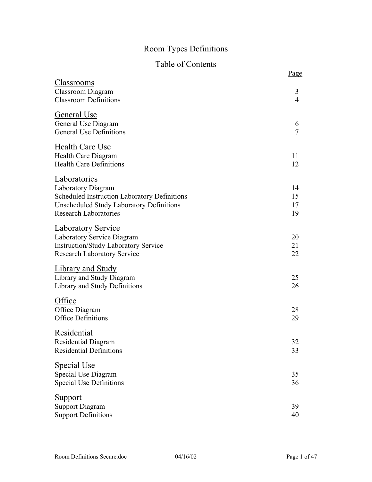# Room Types Definitions

# Table of Contents

|                                                                                                                                                                              | Page                 |
|------------------------------------------------------------------------------------------------------------------------------------------------------------------------------|----------------------|
| <u>Classrooms</u><br><b>Classroom Diagram</b><br><b>Classroom Definitions</b>                                                                                                | 3<br>$\overline{4}$  |
| General Use<br>General Use Diagram<br><b>General Use Definitions</b>                                                                                                         | 6<br>$\overline{7}$  |
| Health Care Use<br>Health Care Diagram<br><b>Health Care Definitions</b>                                                                                                     | 11<br>12             |
| <b>Laboratories</b><br>Laboratory Diagram<br>Scheduled Instruction Laboratory Definitions<br><b>Unscheduled Study Laboratory Definitions</b><br><b>Research Laboratories</b> | 14<br>15<br>17<br>19 |
| <b>Laboratory Service</b><br>Laboratory Service Diagram<br><b>Instruction/Study Laboratory Service</b><br><b>Research Laboratory Service</b>                                 | 20<br>21<br>22       |
| <b>Library and Study</b><br>Library and Study Diagram<br>Library and Study Definitions                                                                                       | 25<br>26             |
| Office<br>Office Diagram<br><b>Office Definitions</b>                                                                                                                        | 28<br>29             |
| <b>Residential</b><br>Residential Diagram<br><b>Residential Definitions</b>                                                                                                  | 32<br>33             |
| <b>Special Use</b><br>Special Use Diagram<br><b>Special Use Definitions</b>                                                                                                  | 35<br>36             |
| <u>Support</u><br><b>Support Diagram</b><br><b>Support Definitions</b>                                                                                                       | 39<br>40             |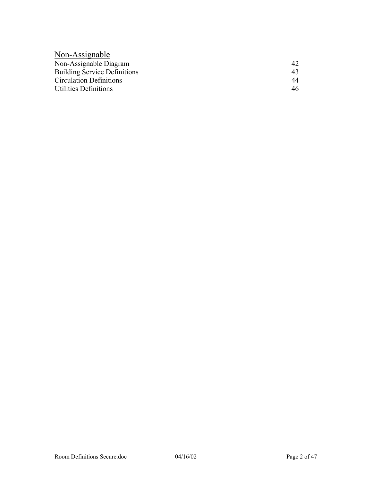| Non-Assignable                      |     |
|-------------------------------------|-----|
| Non-Assignable Diagram              | 42. |
| <b>Building Service Definitions</b> | 43  |
| <b>Circulation Definitions</b>      | 44  |
| <b>Utilities Definitions</b>        | 46  |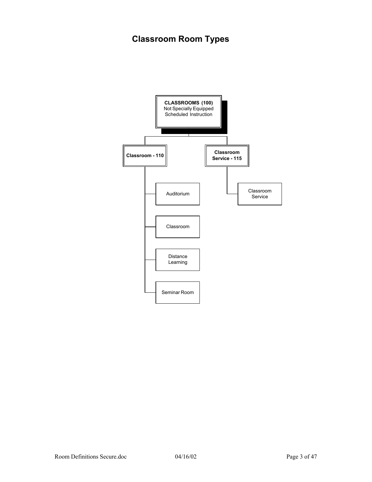# **Classroom Room Types**

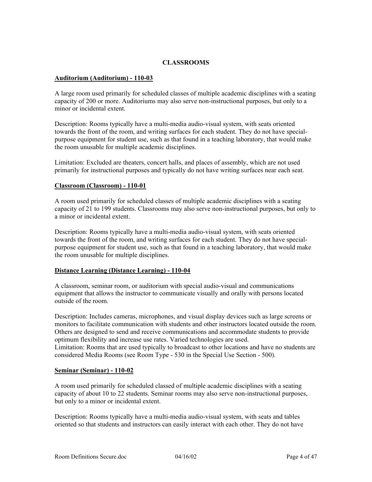# **CLASSROOMS**

# **Auditorium (Auditorium) - 110-03**

A large room used primarily for scheduled classes of multiple academic disciplines with a seating capacity of 200 or more. Auditoriums may also serve non-instructional purposes, but only to a minor or incidental extent.

Description: Rooms typically have a multi-media audio-visual system, with seats oriented towards the front of the room, and writing surfaces for each student. They do not have specialpurpose equipment for student use, such as that found in a teaching laboratory, that would make the room unusable for multiple academic disciplines.

Limitation: Excluded are theaters, concert halls, and places of assembly, which are not used primarily for instructional purposes and typically do not have writing surfaces near each seat.

#### **Classroom (Classroom) - 110-01**

A room used primarily for scheduled classes of multiple academic disciplines with a seating capacity of 21 to 199 students. Classrooms may also serve non-instructional purposes, but only to a minor or incidental extent.

Description: Rooms typically have a multi-media audio-visual system, with seats oriented towards the front of the room, and writing surfaces for each student. They do not have specialpurpose equipment for student use, such as that found in a teaching laboratory, that would make the room unusable for multiple disciplines.

#### **Distance Learning (Distance Learning) - 110-04**

A classroom, seminar room, or auditorium with special audio-visual and communications equipment that allows the instructor to communicate visually and orally with persons located outside of the room.

Description: Includes cameras, microphones, and visual display devices such as large screens or monitors to facilitate communication with students and other instructors located outside the room. Others are designed to send and receive communications and accommodate students to provide optimum flexibility and increase use rates. Varied technologies are used. Limitation: Rooms that are used typically to broadcast to other locations and have no students are considered Media Rooms (see Room Type - 530 in the Special Use Section - 500).

#### **Seminar (Seminar) - 110-02**

A room used primarily for scheduled classed of multiple academic disciplines with a seating capacity of about 10 to 22 students. Seminar rooms may also serve non-instructional purposes, but only to a minor or incidental extent.

Description: Rooms typically have a multi-media audio-visual system, with seats and tables oriented so that students and instructors can easily interact with each other. They do not have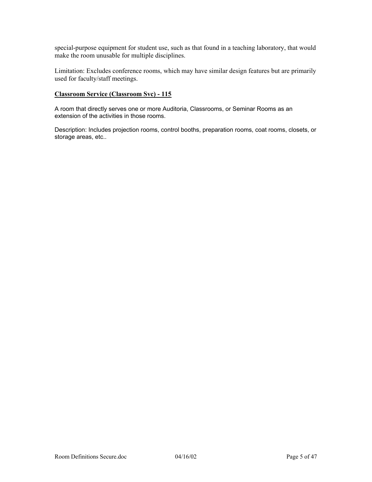special-purpose equipment for student use, such as that found in a teaching laboratory, that would make the room unusable for multiple disciplines.

Limitation: Excludes conference rooms, which may have similar design features but are primarily used for faculty/staff meetings.

### **Classroom Service (Classroom Svc) - 115**

A room that directly serves one or more Auditoria, Classrooms, or Seminar Rooms as an extension of the activities in those rooms.

Description: Includes projection rooms, control booths, preparation rooms, coat rooms, closets, or storage areas, etc..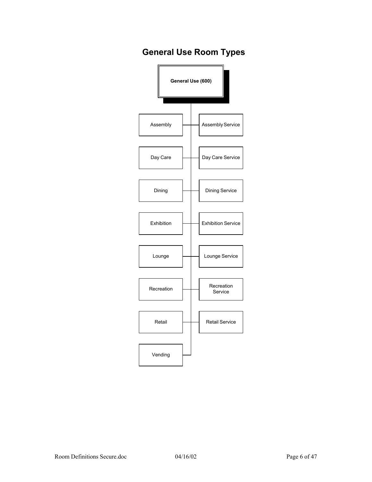# **General Use Room Types**

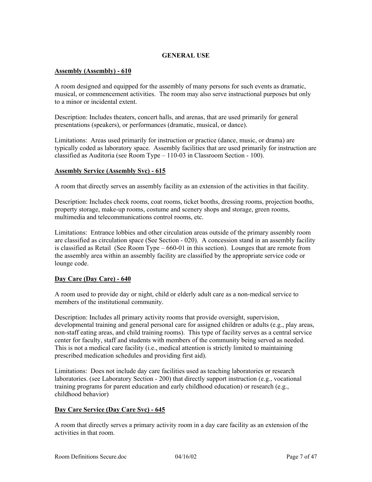# **GENERAL USE**

#### **Assembly (Assembly) - 610**

A room designed and equipped for the assembly of many persons for such events as dramatic, musical, or commencement activities. The room may also serve instructional purposes but only to a minor or incidental extent.

Description: Includes theaters, concert halls, and arenas, that are used primarily for general presentations (speakers), or performances (dramatic, musical, or dance).

Limitations: Areas used primarily for instruction or practice (dance, music, or drama) are typically coded as laboratory space. Assembly facilities that are used primarily for instruction are classified as Auditoria (see Room Type – 110-03 in Classroom Section - 100).

#### **Assembly Service (Assembly Svc) - 615**

A room that directly serves an assembly facility as an extension of the activities in that facility.

Description: Includes check rooms, coat rooms, ticket booths, dressing rooms, projection booths, property storage, make-up rooms, costume and scenery shops and storage, green rooms, multimedia and telecommunications control rooms, etc.

Limitations: Entrance lobbies and other circulation areas outside of the primary assembly room are classified as circulation space (See Section - 020). A concession stand in an assembly facility is classified as Retail (See Room Type – 660-01 in this section). Lounges that are remote from the assembly area within an assembly facility are classified by the appropriate service code or lounge code.

#### **Day Care (Day Care) - 640**

A room used to provide day or night, child or elderly adult care as a non-medical service to members of the institutional community.

Description: Includes all primary activity rooms that provide oversight, supervision, developmental training and general personal care for assigned children or adults (e.g., play areas, non-staff eating areas, and child training rooms). This type of facility serves as a central service center for faculty, staff and students with members of the community being served as needed. This is not a medical care facility (i.e., medical attention is strictly limited to maintaining prescribed medication schedules and providing first aid).

Limitations: Does not include day care facilities used as teaching laboratories or research laboratories. (see Laboratory Section - 200) that directly support instruction (e.g., vocational training programs for parent education and early childhood education) or research (e.g., childhood behavior)

#### **Day Care Service (Day Care Svc) - 645**

A room that directly serves a primary activity room in a day care facility as an extension of the activities in that room.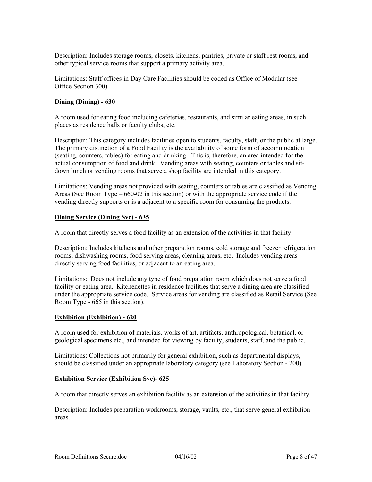Description: Includes storage rooms, closets, kitchens, pantries, private or staff rest rooms, and other typical service rooms that support a primary activity area.

Limitations: Staff offices in Day Care Facilities should be coded as Office of Modular (see Office Section 300).

#### **Dining (Dining) - 630**

A room used for eating food including cafeterias, restaurants, and similar eating areas, in such places as residence halls or faculty clubs, etc.

Description: This category includes facilities open to students, faculty, staff, or the public at large. The primary distinction of a Food Facility is the availability of some form of accommodation (seating, counters, tables) for eating and drinking. This is, therefore, an area intended for the actual consumption of food and drink. Vending areas with seating, counters or tables and sitdown lunch or vending rooms that serve a shop facility are intended in this category.

Limitations: Vending areas not provided with seating, counters or tables are classified as Vending Areas (See Room Type – 660-02 in this section) or with the appropriate service code if the vending directly supports or is a adjacent to a specific room for consuming the products.

#### **Dining Service (Dining Svc) - 635**

A room that directly serves a food facility as an extension of the activities in that facility.

Description: Includes kitchens and other preparation rooms, cold storage and freezer refrigeration rooms, dishwashing rooms, food serving areas, cleaning areas, etc. Includes vending areas directly serving food facilities, or adjacent to an eating area.

Limitations: Does not include any type of food preparation room which does not serve a food facility or eating area. Kitchenettes in residence facilities that serve a dining area are classified under the appropriate service code. Service areas for vending are classified as Retail Service (See Room Type - 665 in this section).

#### **Exhibition (Exhibition) - 620**

A room used for exhibition of materials, works of art, artifacts, anthropological, botanical, or geological specimens etc., and intended for viewing by faculty, students, staff, and the public.

Limitations: Collections not primarily for general exhibition, such as departmental displays, should be classified under an appropriate laboratory category (see Laboratory Section - 200).

#### **Exhibition Service (Exhibition Svc)- 625**

A room that directly serves an exhibition facility as an extension of the activities in that facility.

Description: Includes preparation workrooms, storage, vaults, etc., that serve general exhibition areas.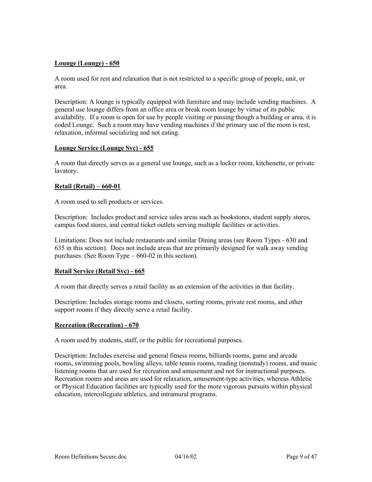# **Lounge (Lounge) - 650**

A room used for rest and relaxation that is not restricted to a specific group of people, unit, or area.

Description: A lounge is typically equipped with furniture and may include vending machines. A general use lounge differs from an office area or break room lounge by virtue of its public availability. If a room is open for use by people visiting or passing though a building or area, it is coded Lounge. Such a room may have vending machines if the primary use of the room is rest, relaxation, informal socializing and not eating.

#### **Lounge Service (Lounge Svc) - 655**

A room that directly serves as a general use lounge, such as a locker room, kitchenette, or private lavatory.

#### **Retail (Retail) – 660-01**

A room used to sell products or services.

Description: Includes product and service sales areas such as bookstores, student supply stores, campus food stores, and central ticket outlets serving multiple facilities or activities.

Limitations: Does not include restaurants and similar Dining areas (see Room Types - 630 and 635 in this section). Does not include areas that are primarily designed for walk away vending purchases. (See Room Type – 660-02 in this section).

#### **Retail Service (Retail Svc) - 665**

A room that directly serves a retail facility as an extension of the activities in that facility.

Description: Includes storage rooms and closets, sorting rooms, private rest rooms, and other support rooms if they directly serve a retail facility.

#### **Recreation (Recreation) - 670**

A room used by students, staff, or the public for recreational purposes.

Description: Includes exercise and general fitness rooms, billiards rooms, game and arcade rooms, swimming pools, bowling alleys, table tennis rooms, reading (nonstudy) rooms, and music listening rooms that are used for recreation and amusement and not for instructional purposes. Recreation rooms and areas are used for relaxation, amusement-type activities, whereas Athletic or Physical Education facilities are typically used for the more vigorous pursuits within physical education, intercollegiate athletics, and intramural programs.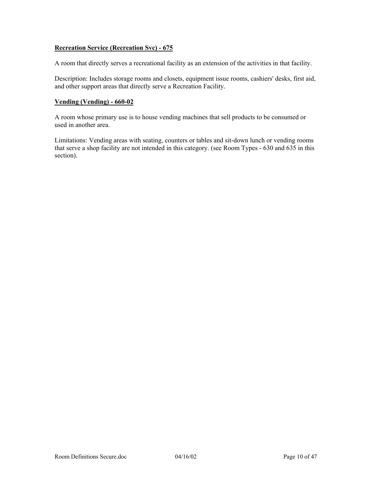# **Recreation Service (Recreation Svc) - 675**

A room that directly serves a recreational facility as an extension of the activities in that facility.

Description: Includes storage rooms and closets, equipment issue rooms, cashiers' desks, first aid, and other support areas that directly serve a Recreation Facility.

#### **Vending (Vending) - 660-02**

A room whose primary use is to house vending machines that sell products to be consumed or used in another area.

Limitations: Vending areas with seating, counters or tables and sit-down lunch or vending rooms that serve a shop facility are not intended in this category. (see Room Types - 630 and 635 in this section).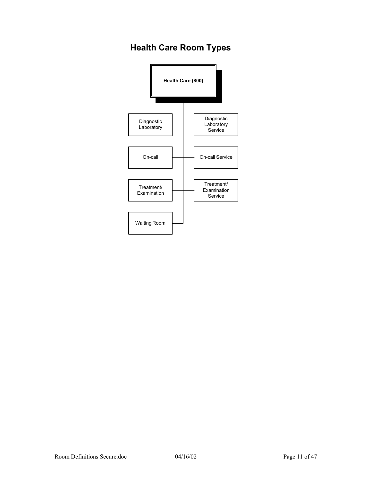# **Health Care Room Types**

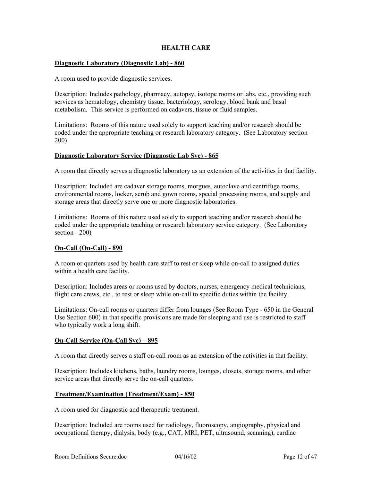# **HEALTH CARE**

#### **Diagnostic Laboratory (Diagnostic Lab) - 860**

A room used to provide diagnostic services.

Description: Includes pathology, pharmacy, autopsy, isotope rooms or labs, etc., providing such services as hematology, chemistry tissue, bacteriology, serology, blood bank and basal metabolism. This service is performed on cadavers, tissue or fluid samples.

Limitations: Rooms of this nature used solely to support teaching and/or research should be coded under the appropriate teaching or research laboratory category. (See Laboratory section – 200)

#### **Diagnostic Laboratory Service (Diagnostic Lab Svc) - 865**

A room that directly serves a diagnostic laboratory as an extension of the activities in that facility.

Description: Included are cadaver storage rooms, morgues, autoclave and centrifuge rooms, environmental rooms, locker, scrub and gown rooms, special processing rooms, and supply and storage areas that directly serve one or more diagnostic laboratories.

Limitations: Rooms of this nature used solely to support teaching and/or research should be coded under the appropriate teaching or research laboratory service category. (See Laboratory section - 200)

#### **On-Call (On-Call) - 890**

A room or quarters used by health care staff to rest or sleep while on-call to assigned duties within a health care facility.

Description: Includes areas or rooms used by doctors, nurses, emergency medical technicians, flight care crews, etc., to rest or sleep while on-call to specific duties within the facility.

Limitations: On-call rooms or quarters differ from lounges (See Room Type - 650 in the General Use Section 600) in that specific provisions are made for sleeping and use is restricted to staff who typically work a long shift.

#### **On-Call Service (On-Call Svc) – 895**

A room that directly serves a staff on-call room as an extension of the activities in that facility.

Description: Includes kitchens, baths, laundry rooms, lounges, closets, storage rooms, and other service areas that directly serve the on-call quarters.

#### **Treatment/Examination (Treatment/Exam) - 850**

A room used for diagnostic and therapeutic treatment.

Description: Included are rooms used for radiology, fluoroscopy, angiography, physical and occupational therapy, dialysis, body (e.g., CAT, MRI, PET, ultrasound, scanning), cardiac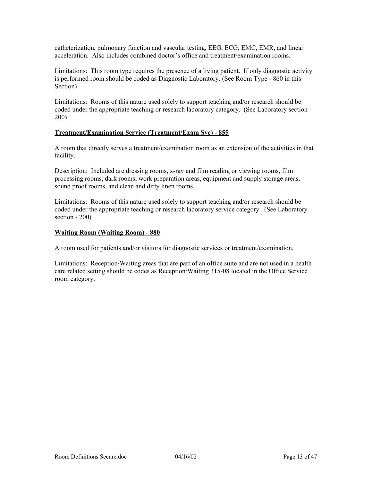catheterization, pulmonary function and vascular testing, EEG, ECG, EMC, EMR, and linear acceleration. Also includes combined doctor's office and treatment/examination rooms.

Limitations: This room type requires the presence of a living patient. If only diagnostic activity is performed room should be coded as Diagnostic Laboratory. (See Room Type - 860 in this Section)

Limitations: Rooms of this nature used solely to support teaching and/or research should be coded under the appropriate teaching or research laboratory category. (See Laboratory section - 200)

#### **Treatment/Examination Service (Treatment/Exam Svc) - 855**

A room that directly serves a treatment/examination room as an extension of the activities in that facility.

Description: Included are dressing rooms, x-ray and film reading or viewing rooms, film processing rooms, dark rooms, work preparation areas, equipment and supply storage areas, sound proof rooms, and clean and dirty linen rooms.

Limitations: Rooms of this nature used solely to support teaching and/or research should be coded under the appropriate teaching or research laboratory service category. (See Laboratory section - 200)

# **Waiting Room (Waiting Room) - 880**

A room used for patients and/or visitors for diagnostic services or treatment/examination.

Limitations: Reception/Waiting areas that are part of an office suite and are not used in a health care related setting should be codes as Reception/Waiting 315-08 located in the Office Service room category.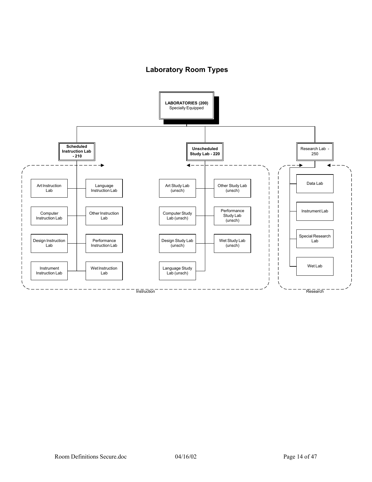# **Laboratory Room Types**

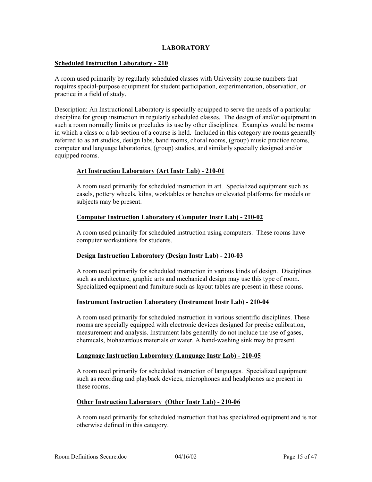#### **LABORATORY**

#### **Scheduled Instruction Laboratory - 210**

A room used primarily by regularly scheduled classes with University course numbers that requires special-purpose equipment for student participation, experimentation, observation, or practice in a field of study.

Description: An Instructional Laboratory is specially equipped to serve the needs of a particular discipline for group instruction in regularly scheduled classes. The design of and/or equipment in such a room normally limits or precludes its use by other disciplines. Examples would be rooms in which a class or a lab section of a course is held. Included in this category are rooms generally referred to as art studios, design labs, band rooms, choral rooms, (group) music practice rooms, computer and language laboratories, (group) studios, and similarly specially designed and/or equipped rooms.

# **Art Instruction Laboratory (Art Instr Lab) - 210-01**

A room used primarily for scheduled instruction in art. Specialized equipment such as easels, pottery wheels, kilns, worktables or benches or elevated platforms for models or subjects may be present.

# **Computer Instruction Laboratory (Computer Instr Lab) - 210-02**

A room used primarily for scheduled instruction using computers. These rooms have computer workstations for students.

#### **Design Instruction Laboratory (Design Instr Lab) - 210-03**

A room used primarily for scheduled instruction in various kinds of design. Disciplines such as architecture, graphic arts and mechanical design may use this type of room. Specialized equipment and furniture such as layout tables are present in these rooms.

#### **Instrument Instruction Laboratory (Instrument Instr Lab) - 210-04**

A room used primarily for scheduled instruction in various scientific disciplines. These rooms are specially equipped with electronic devices designed for precise calibration, measurement and analysis. Instrument labs generally do not include the use of gases, chemicals, biohazardous materials or water. A hand-washing sink may be present.

#### **Language Instruction Laboratory (Language Instr Lab) - 210-05**

A room used primarily for scheduled instruction of languages. Specialized equipment such as recording and playback devices, microphones and headphones are present in these rooms.

#### **Other Instruction Laboratory (Other Instr Lab) - 210-06**

A room used primarily for scheduled instruction that has specialized equipment and is not otherwise defined in this category.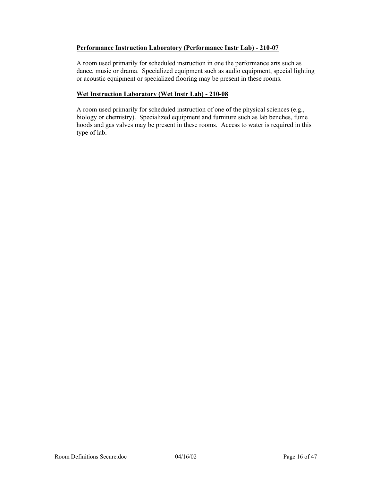# **Performance Instruction Laboratory (Performance Instr Lab) - 210-07**

A room used primarily for scheduled instruction in one the performance arts such as dance, music or drama. Specialized equipment such as audio equipment, special lighting or acoustic equipment or specialized flooring may be present in these rooms.

# **Wet Instruction Laboratory (Wet Instr Lab) - 210-08**

A room used primarily for scheduled instruction of one of the physical sciences (e.g., biology or chemistry). Specialized equipment and furniture such as lab benches, fume hoods and gas valves may be present in these rooms. Access to water is required in this type of lab.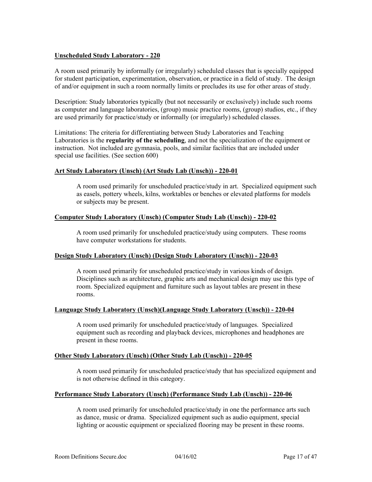# **Unscheduled Study Laboratory - 220**

A room used primarily by informally (or irregularly) scheduled classes that is specially equipped for student participation, experimentation, observation, or practice in a field of study. The design of and/or equipment in such a room normally limits or precludes its use for other areas of study.

Description: Study laboratories typically (but not necessarily or exclusively) include such rooms as computer and language laboratories, (group) music practice rooms, (group) studios, etc., if they are used primarily for practice/study or informally (or irregularly) scheduled classes.

Limitations: The criteria for differentiating between Study Laboratories and Teaching Laboratories is the **regularity of the scheduling**, and not the specialization of the equipment or instruction. Not included are gymnasia, pools, and similar facilities that are included under special use facilities. (See section 600)

#### **Art Study Laboratory (Unsch) (Art Study Lab (Unsch)) - 220-01**

A room used primarily for unscheduled practice/study in art. Specialized equipment such as easels, pottery wheels, kilns, worktables or benches or elevated platforms for models or subjects may be present.

# **Computer Study Laboratory (Unsch) (Computer Study Lab (Unsch)) - 220-02**

A room used primarily for unscheduled practice/study using computers. These rooms have computer workstations for students.

#### **Design Study Laboratory (Unsch) (Design Study Laboratory (Unsch)) - 220-03**

A room used primarily for unscheduled practice/study in various kinds of design. Disciplines such as architecture, graphic arts and mechanical design may use this type of room. Specialized equipment and furniture such as layout tables are present in these rooms.

#### **Language Study Laboratory (Unsch)(Language Study Laboratory (Unsch)) - 220-04**

A room used primarily for unscheduled practice/study of languages. Specialized equipment such as recording and playback devices, microphones and headphones are present in these rooms.

#### **Other Study Laboratory (Unsch) (Other Study Lab (Unsch)) - 220-05**

A room used primarily for unscheduled practice/study that has specialized equipment and is not otherwise defined in this category.

#### **Performance Study Laboratory (Unsch) (Performance Study Lab (Unsch)) - 220-06**

A room used primarily for unscheduled practice/study in one the performance arts such as dance, music or drama. Specialized equipment such as audio equipment, special lighting or acoustic equipment or specialized flooring may be present in these rooms.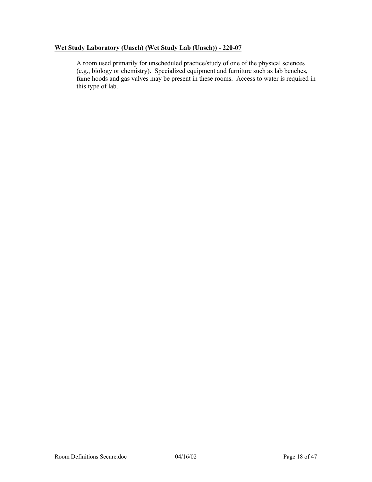# **Wet Study Laboratory (Unsch) (Wet Study Lab (Unsch)) - 220-07**

A room used primarily for unscheduled practice/study of one of the physical sciences (e.g., biology or chemistry). Specialized equipment and furniture such as lab benches, fume hoods and gas valves may be present in these rooms. Access to water is required in this type of lab.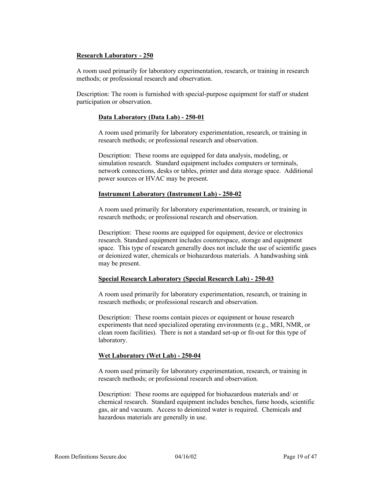# **Research Laboratory - 250**

A room used primarily for laboratory experimentation, research, or training in research methods; or professional research and observation.

Description: The room is furnished with special-purpose equipment for staff or student participation or observation.

#### **Data Laboratory (Data Lab) - 250-01**

A room used primarily for laboratory experimentation, research, or training in research methods; or professional research and observation.

Description: These rooms are equipped for data analysis, modeling, or simulation research. Standard equipment includes computers or terminals, network connections, desks or tables, printer and data storage space. Additional power sources or HVAC may be present.

#### **Instrument Laboratory (Instrument Lab) - 250-02**

A room used primarily for laboratory experimentation, research, or training in research methods; or professional research and observation.

Description: These rooms are equipped for equipment, device or electronics research. Standard equipment includes counterspace, storage and equipment space. This type of research generally does not include the use of scientific gases or deionized water, chemicals or biohazardous materials. A handwashing sink may be present.

#### **Special Research Laboratory (Special Research Lab) - 250-03**

A room used primarily for laboratory experimentation, research, or training in research methods; or professional research and observation.

Description: These rooms contain pieces or equipment or house research experiments that need specialized operating environments (e.g., MRI, NMR, or clean room facilities). There is not a standard set-up or fit-out for this type of laboratory.

#### **Wet Laboratory (Wet Lab) - 250-04**

A room used primarily for laboratory experimentation, research, or training in research methods; or professional research and observation.

Description: These rooms are equipped for biohazardous materials and/ or chemical research. Standard equipment includes benches, fume hoods, scientific gas, air and vacuum. Access to deionized water is required. Chemicals and hazardous materials are generally in use.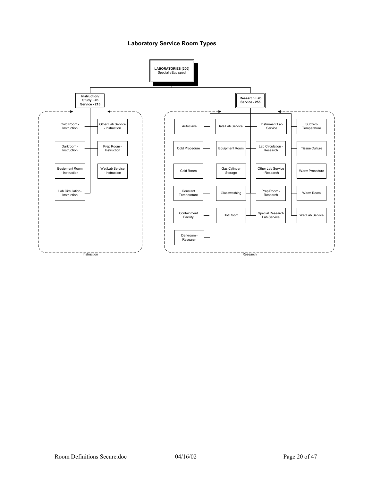#### **Laboratory Service Room Types**

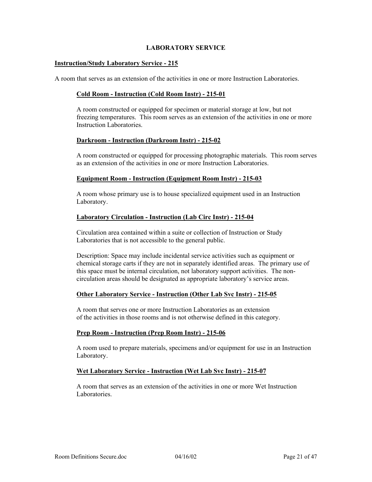#### **LABORATORY SERVICE**

#### **Instruction/Study Laboratory Service - 215**

A room that serves as an extension of the activities in one or more Instruction Laboratories.

#### **Cold Room - Instruction (Cold Room Instr) - 215-01**

A room constructed or equipped for specimen or material storage at low, but not freezing temperatures. This room serves as an extension of the activities in one or more Instruction Laboratories.

#### **Darkroom - Instruction (Darkroom Instr) - 215-02**

A room constructed or equipped for processing photographic materials. This room serves as an extension of the activities in one or more Instruction Laboratories.

#### **Equipment Room - Instruction (Equipment Room Instr) - 215-03**

A room whose primary use is to house specialized equipment used in an Instruction Laboratory.

#### **Laboratory Circulation - Instruction (Lab Circ Instr) - 215-04**

Circulation area contained within a suite or collection of Instruction or Study Laboratories that is not accessible to the general public.

Description: Space may include incidental service activities such as equipment or chemical storage carts if they are not in separately identified areas. The primary use of this space must be internal circulation, not laboratory support activities. The noncirculation areas should be designated as appropriate laboratory's service areas.

#### **Other Laboratory Service - Instruction (Other Lab Svc Instr) - 215-05**

A room that serves one or more Instruction Laboratories as an extension of the activities in those rooms and is not otherwise defined in this category.

#### **Prep Room - Instruction (Prep Room Instr) - 215-06**

A room used to prepare materials, specimens and/or equipment for use in an Instruction Laboratory.

#### **Wet Laboratory Service - Instruction (Wet Lab Svc Instr) - 215-07**

A room that serves as an extension of the activities in one or more Wet Instruction Laboratories.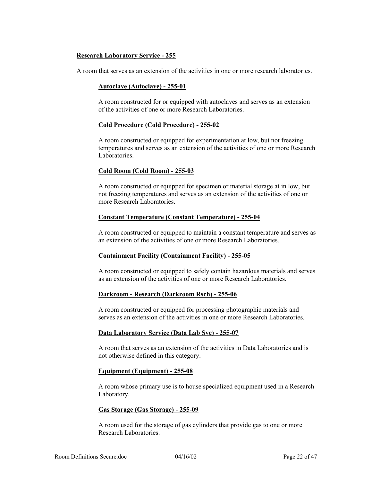### **Research Laboratory Service - 255**

A room that serves as an extension of the activities in one or more research laboratories.

#### **Autoclave (Autoclave) - 255-01**

A room constructed for or equipped with autoclaves and serves as an extension of the activities of one or more Research Laboratories.

#### **Cold Procedure (Cold Procedure) - 255-02**

A room constructed or equipped for experimentation at low, but not freezing temperatures and serves as an extension of the activities of one or more Research Laboratories.

#### **Cold Room (Cold Room) - 255-03**

A room constructed or equipped for specimen or material storage at in low, but not freezing temperatures and serves as an extension of the activities of one or more Research Laboratories.

## **Constant Temperature (Constant Temperature) - 255-04**

A room constructed or equipped to maintain a constant temperature and serves as an extension of the activities of one or more Research Laboratories.

#### **Containment Facility (Containment Facility) - 255-05**

A room constructed or equipped to safely contain hazardous materials and serves as an extension of the activities of one or more Research Laboratories.

#### **Darkroom - Research (Darkroom Rsch) - 255-06**

A room constructed or equipped for processing photographic materials and serves as an extension of the activities in one or more Research Laboratories.

#### **Data Laboratory Service (Data Lab Svc) - 255-07**

A room that serves as an extension of the activities in Data Laboratories and is not otherwise defined in this category.

#### **Equipment (Equipment) - 255-08**

A room whose primary use is to house specialized equipment used in a Research Laboratory.

#### **Gas Storage (Gas Storage) - 255-09**

A room used for the storage of gas cylinders that provide gas to one or more Research Laboratories.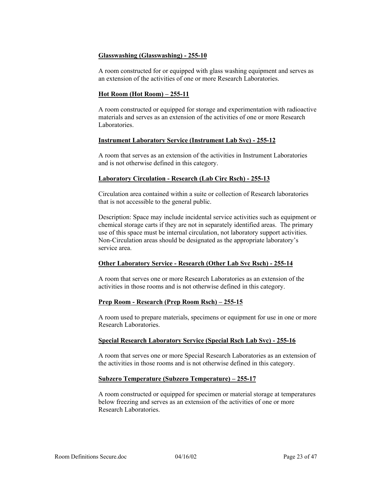# **Glasswashing (Glasswashing) - 255-10**

A room constructed for or equipped with glass washing equipment and serves as an extension of the activities of one or more Research Laboratories.

# **Hot Room (Hot Room) – 255-11**

A room constructed or equipped for storage and experimentation with radioactive materials and serves as an extension of the activities of one or more Research Laboratories.

#### **Instrument Laboratory Service (Instrument Lab Svc) - 255-12**

A room that serves as an extension of the activities in Instrument Laboratories and is not otherwise defined in this category.

# **Laboratory Circulation - Research (Lab Circ Rsch) - 255-13**

Circulation area contained within a suite or collection of Research laboratories that is not accessible to the general public.

 Description: Space may include incidental service activities such as equipment or chemical storage carts if they are not in separately identified areas. The primary use of this space must be internal circulation, not laboratory support activities. Non-Circulation areas should be designated as the appropriate laboratory's service area.

#### **Other Laboratory Service - Research (Other Lab Svc Rsch) - 255-14**

A room that serves one or more Research Laboratories as an extension of the activities in those rooms and is not otherwise defined in this category.

#### **Prep Room - Research (Prep Room Rsch) – 255-15**

A room used to prepare materials, specimens or equipment for use in one or more Research Laboratories.

#### **Special Research Laboratory Service (Special Rsch Lab Svc) - 255-16**

A room that serves one or more Special Research Laboratories as an extension of the activities in those rooms and is not otherwise defined in this category.

#### **Subzero Temperature (Subzero Temperature) – 255-17**

A room constructed or equipped for specimen or material storage at temperatures below freezing and serves as an extension of the activities of one or more Research Laboratories.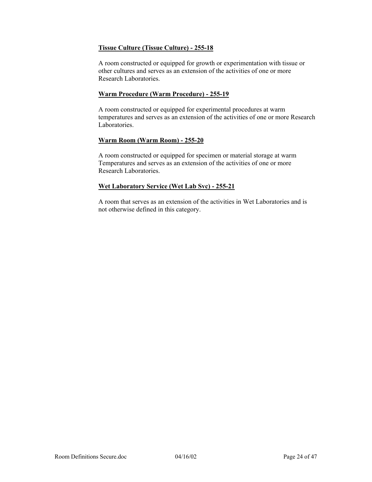# **Tissue Culture (Tissue Culture) - 255-18**

A room constructed or equipped for growth or experimentation with tissue or other cultures and serves as an extension of the activities of one or more Research Laboratories.

#### **Warm Procedure (Warm Procedure) - 255-19**

A room constructed or equipped for experimental procedures at warm temperatures and serves as an extension of the activities of one or more Research Laboratories.

#### **Warm Room (Warm Room) - 255-20**

A room constructed or equipped for specimen or material storage at warm Temperatures and serves as an extension of the activities of one or more Research Laboratories.

# **Wet Laboratory Service (Wet Lab Svc) - 255-21**

A room that serves as an extension of the activities in Wet Laboratories and is not otherwise defined in this category.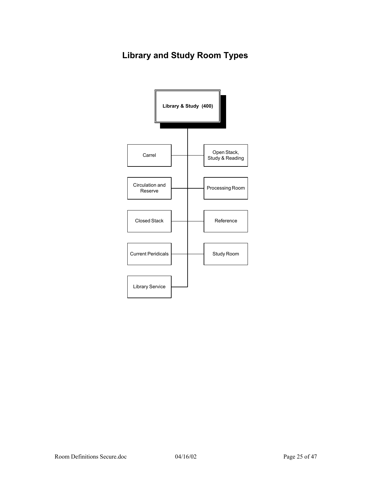# **Library and Study Room Types**

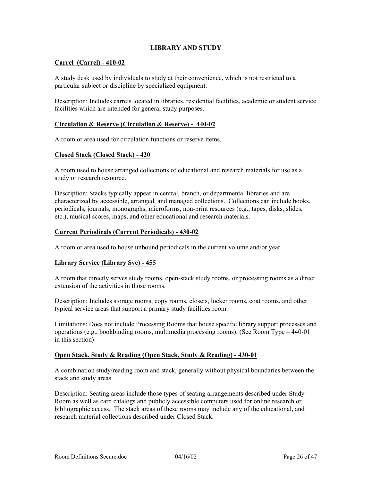# **LIBRARY AND STUDY**

## **Carrel (Carrel) - 410-02**

A study desk used by individuals to study at their convenience, which is not restricted to a particular subject or discipline by specialized equipment.

Description: Includes carrels located in libraries, residential facilities, academic or student service facilities which are intended for general study purposes.

#### **Circulation & Reserve (Circulation & Reserve) - 440-02**

A room or area used for circulation functions or reserve items.

#### **Closed Stack (Closed Stack) - 420**

A room used to house arranged collections of educational and research materials for use as a study or research resource.

Description: Stacks typically appear in central, branch, or departmental libraries and are characterized by accessible, arranged, and managed collections. Collections can include books, periodicals, journals, monographs, microforms, non-print resources (e.g., tapes, disks, slides, etc.), musical scores, maps, and other educational and research materials.

#### **Current Periodicals (Current Periodicals) - 430-02**

A room or area used to house unbound periodicals in the current volume and/or year.

#### **Library Service (Library Svc) - 455**

A room that directly serves study rooms, open-stack study rooms, or processing rooms as a direct extension of the activities in those rooms.

Description: Includes storage rooms, copy rooms, closets, locker rooms, coat rooms, and other typical service areas that support a primary study facilities room.

Limitations: Does not include Processing Rooms that house specific library support processes and operations (e.g., bookbinding rooms, multimedia processing rooms). (See Room Type – 440-01 in this section)

#### **Open Stack, Study & Reading (Open Stack, Study & Reading) - 430-01**

A combination study/reading room and stack, generally without physical boundaries between the stack and study areas.

Description: Seating areas include those types of seating arrangements described under Study Room as well as card catalogs and publicly accessible computers used for online research or bibliographic access. The stack areas of these rooms may include any of the educational, and research material collections described under Closed Stack.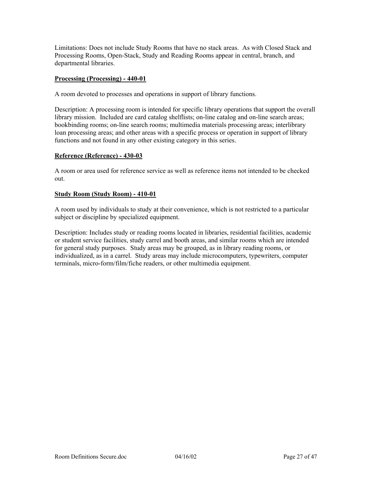Limitations: Does not include Study Rooms that have no stack areas. As with Closed Stack and Processing Rooms, Open-Stack, Study and Reading Rooms appear in central, branch, and departmental libraries.

# **Processing (Processing) - 440-01**

A room devoted to processes and operations in support of library functions.

Description: A processing room is intended for specific library operations that support the overall library mission. Included are card catalog shelflists; on-line catalog and on-line search areas; bookbinding rooms; on-line search rooms; multimedia materials processing areas; interlibrary loan processing areas; and other areas with a specific process or operation in support of library functions and not found in any other existing category in this series.

#### **Reference (Reference) - 430-03**

A room or area used for reference service as well as reference items not intended to be checked out.

# **Study Room (Study Room) - 410-01**

A room used by individuals to study at their convenience, which is not restricted to a particular subject or discipline by specialized equipment.

Description: Includes study or reading rooms located in libraries, residential facilities, academic or student service facilities, study carrel and booth areas, and similar rooms which are intended for general study purposes. Study areas may be grouped, as in library reading rooms, or individualized, as in a carrel. Study areas may include microcomputers, typewriters, computer terminals, micro-form/film/fiche readers, or other multimedia equipment.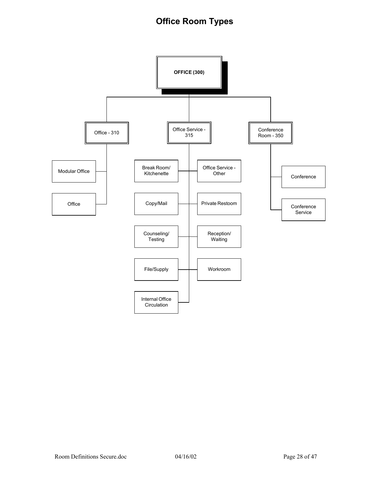# **Office Room Types**

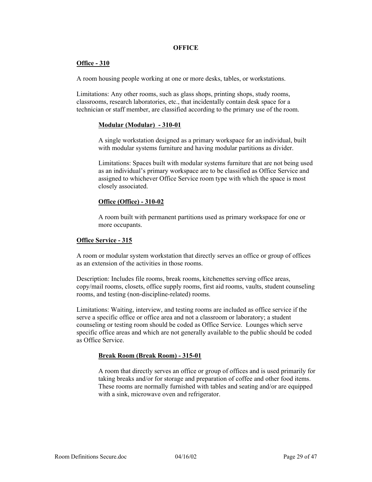#### **OFFICE**

#### **Office - 310**

A room housing people working at one or more desks, tables, or workstations.

Limitations: Any other rooms, such as glass shops, printing shops, study rooms, classrooms, research laboratories, etc., that incidentally contain desk space for a technician or staff member, are classified according to the primary use of the room.

#### **Modular (Modular) - 310-01**

A single workstation designed as a primary workspace for an individual, built with modular systems furniture and having modular partitions as divider.

Limitations: Spaces built with modular systems furniture that are not being used as an individual's primary workspace are to be classified as Office Service and assigned to whichever Office Service room type with which the space is most closely associated.

#### **Office (Office) - 310-02**

A room built with permanent partitions used as primary workspace for one or more occupants.

#### **Office Service - 315**

A room or modular system workstation that directly serves an office or group of offices as an extension of the activities in those rooms.

Description: Includes file rooms, break rooms, kitchenettes serving office areas, copy/mail rooms, closets, office supply rooms, first aid rooms, vaults, student counseling rooms, and testing (non-discipline-related) rooms.

Limitations: Waiting, interview, and testing rooms are included as office service if the serve a specific office or office area and not a classroom or laboratory; a student counseling or testing room should be coded as Office Service. Lounges which serve specific office areas and which are not generally available to the public should be coded as Office Service.

#### **Break Room (Break Room) - 315-01**

A room that directly serves an office or group of offices and is used primarily for taking breaks and/or for storage and preparation of coffee and other food items. These rooms are normally furnished with tables and seating and/or are equipped with a sink, microwave oven and refrigerator.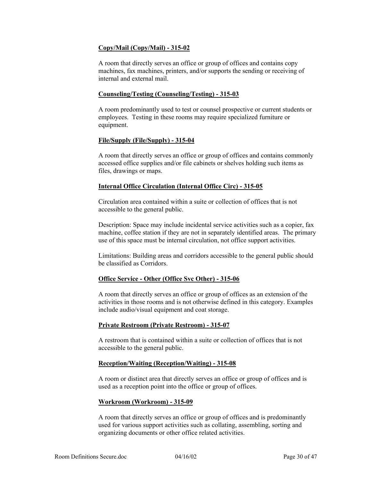# **Copy/Mail (Copy/Mail) - 315-02**

A room that directly serves an office or group of offices and contains copy machines, fax machines, printers, and/or supports the sending or receiving of internal and external mail.

#### **Counseling/Testing (Counseling/Testing) - 315-03**

A room predominantly used to test or counsel prospective or current students or employees. Testing in these rooms may require specialized furniture or equipment.

#### **File/Supply (File/Supply) - 315-04**

A room that directly serves an office or group of offices and contains commonly accessed office supplies and/or file cabinets or shelves holding such items as files, drawings or maps.

# **Internal Office Circulation (Internal Office Circ) - 315-05**

Circulation area contained within a suite or collection of offices that is not accessible to the general public.

Description: Space may include incidental service activities such as a copier, fax machine, coffee station if they are not in separately identified areas. The primary use of this space must be internal circulation, not office support activities.

Limitations: Building areas and corridors accessible to the general public should be classified as Corridors.

#### **Office Service - Other (Office Svc Other) - 315-06**

A room that directly serves an office or group of offices as an extension of the activities in those rooms and is not otherwise defined in this category. Examples include audio/visual equipment and coat storage.

#### **Private Restroom (Private Restroom) - 315-07**

A restroom that is contained within a suite or collection of offices that is not accessible to the general public.

#### **Reception/Waiting (Reception/Waiting) - 315-08**

A room or distinct area that directly serves an office or group of offices and is used as a reception point into the office or group of offices.

#### **Workroom (Workroom) - 315-09**

A room that directly serves an office or group of offices and is predominantly used for various support activities such as collating, assembling, sorting and organizing documents or other office related activities.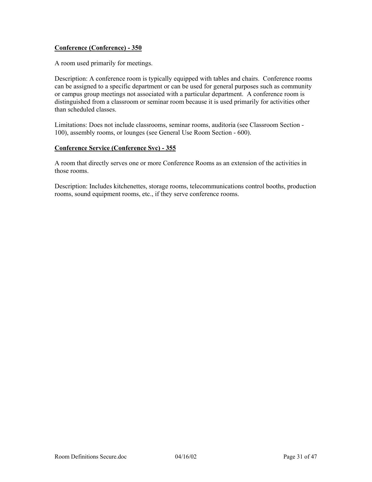# **Conference (Conference) - 350**

A room used primarily for meetings.

Description: A conference room is typically equipped with tables and chairs. Conference rooms can be assigned to a specific department or can be used for general purposes such as community or campus group meetings not associated with a particular department. A conference room is distinguished from a classroom or seminar room because it is used primarily for activities other than scheduled classes.

Limitations: Does not include classrooms, seminar rooms, auditoria (see Classroom Section - 100), assembly rooms, or lounges (see General Use Room Section - 600).

# **Conference Service (Conference Svc) - 355**

A room that directly serves one or more Conference Rooms as an extension of the activities in those rooms.

Description: Includes kitchenettes, storage rooms, telecommunications control booths, production rooms, sound equipment rooms, etc., if they serve conference rooms.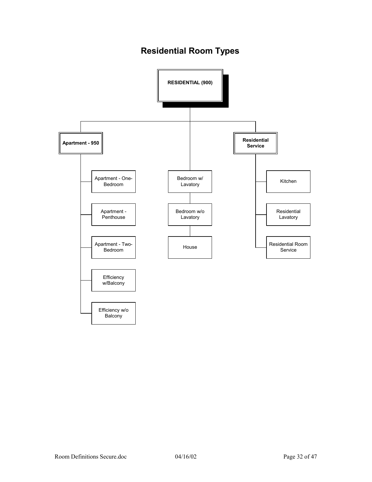# **Residential Room Types**

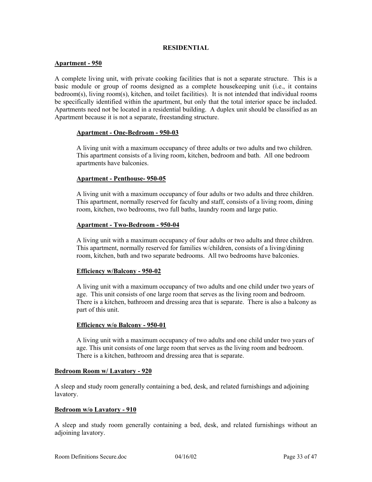#### **RESIDENTIAL**

#### **Apartment - 950**

A complete living unit, with private cooking facilities that is not a separate structure. This is a basic module or group of rooms designed as a complete housekeeping unit (i.e., it contains bedroom(s), living room(s), kitchen, and toilet facilities). It is not intended that individual rooms be specifically identified within the apartment, but only that the total interior space be included. Apartments need not be located in a residential building. A duplex unit should be classified as an Apartment because it is not a separate, freestanding structure.

#### **Apartment - One-Bedroom - 950-03**

A living unit with a maximum occupancy of three adults or two adults and two children. This apartment consists of a living room, kitchen, bedroom and bath. All one bedroom apartments have balconies.

#### **Apartment - Penthouse- 950-05**

A living unit with a maximum occupancy of four adults or two adults and three children. This apartment, normally reserved for faculty and staff, consists of a living room, dining room, kitchen, two bedrooms, two full baths, laundry room and large patio.

#### **Apartment - Two-Bedroom - 950-04**

A living unit with a maximum occupancy of four adults or two adults and three children. This apartment, normally reserved for families w/children, consists of a living/dining room, kitchen, bath and two separate bedrooms. All two bedrooms have balconies.

#### **Efficiency w/Balcony - 950-02**

A living unit with a maximum occupancy of two adults and one child under two years of age. This unit consists of one large room that serves as the living room and bedroom. There is a kitchen, bathroom and dressing area that is separate. There is also a balcony as part of this unit.

#### **Efficiency w/o Balcony - 950-01**

A living unit with a maximum occupancy of two adults and one child under two years of age. This unit consists of one large room that serves as the living room and bedroom. There is a kitchen, bathroom and dressing area that is separate.

#### **Bedroom Room w/ Lavatory - 920**

A sleep and study room generally containing a bed, desk, and related furnishings and adjoining lavatory.

#### **Bedroom w/o Lavatory - 910**

A sleep and study room generally containing a bed, desk, and related furnishings without an adjoining lavatory.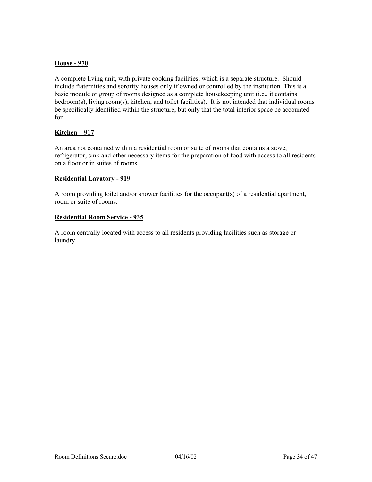# **House - 970**

A complete living unit, with private cooking facilities, which is a separate structure. Should include fraternities and sorority houses only if owned or controlled by the institution. This is a basic module or group of rooms designed as a complete housekeeping unit (i.e., it contains bedroom(s), living room(s), kitchen, and toilet facilities). It is not intended that individual rooms be specifically identified within the structure, but only that the total interior space be accounted for.

#### **Kitchen – 917**

An area not contained within a residential room or suite of rooms that contains a stove, refrigerator, sink and other necessary items for the preparation of food with access to all residents on a floor or in suites of rooms.

#### **Residential Lavatory - 919**

A room providing toilet and/or shower facilities for the occupant(s) of a residential apartment, room or suite of rooms.

#### **Residential Room Service - 935**

A room centrally located with access to all residents providing facilities such as storage or laundry.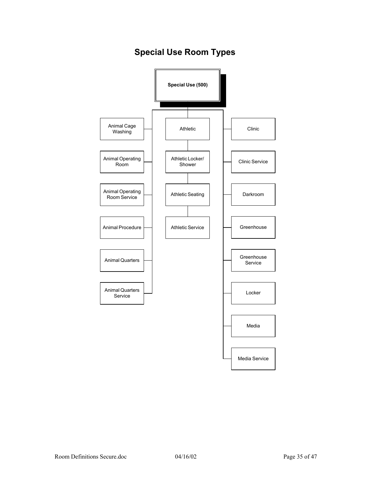# **Special Use Room Types**

![](_page_34_Figure_1.jpeg)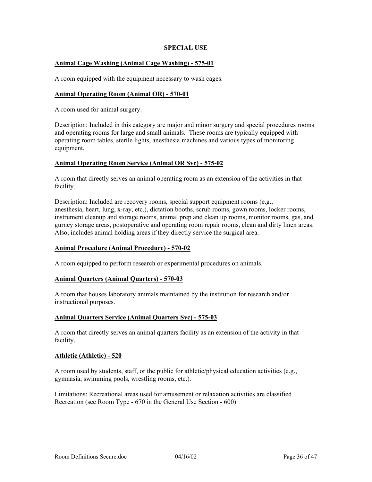### **SPECIAL USE**

### **Animal Cage Washing (Animal Cage Washing) - 575-01**

A room equipped with the equipment necessary to wash cages.

#### **Animal Operating Room (Animal OR) - 570-01**

A room used for animal surgery.

Description: Included in this category are major and minor surgery and special procedures rooms and operating rooms for large and small animals. These rooms are typically equipped with operating room tables, sterile lights, anesthesia machines and various types of monitoring equipment.

#### **Animal Operating Room Service (Animal OR Svc) - 575-02**

A room that directly serves an animal operating room as an extension of the activities in that facility.

Description: Included are recovery rooms, special support equipment rooms (e.g., anesthesia, heart, lung, x-ray, etc.), dictation booths, scrub rooms, gown rooms, locker rooms, instrument cleanup and storage rooms, animal prep and clean up rooms, monitor rooms, gas, and gurney storage areas, postoperative and operating room repair rooms, clean and dirty linen areas. Also, includes animal holding areas if they directly service the surgical area.

#### **Animal Procedure (Animal Procedure) - 570-02**

A room equipped to perform research or experimental procedures on animals.

#### **Animal Quarters (Animal Quarters) - 570-03**

A room that houses laboratory animals maintained by the institution for research and/or instructional purposes.

#### **Animal Quarters Service (Animal Quarters Svc) - 575-03**

A room that directly serves an animal quarters facility as an extension of the activity in that facility.

#### **Athletic (Athletic) - 520**

A room used by students, staff, or the public for athletic/physical education activities (e.g., gymnasia, swimming pools, wrestling rooms, etc.).

Limitations: Recreational areas used for amusement or relaxation activities are classified Recreation (see Room Type - 670 in the General Use Section - 600)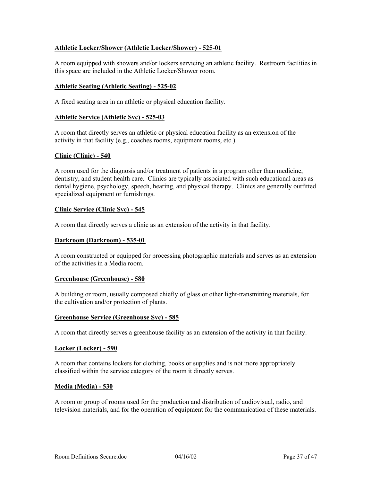### **Athletic Locker/Shower (Athletic Locker/Shower) - 525-01**

A room equipped with showers and/or lockers servicing an athletic facility. Restroom facilities in this space are included in the Athletic Locker/Shower room.

#### **Athletic Seating (Athletic Seating) - 525-02**

A fixed seating area in an athletic or physical education facility.

# **Athletic Service (Athletic Svc) - 525-03**

A room that directly serves an athletic or physical education facility as an extension of the activity in that facility (e.g., coaches rooms, equipment rooms, etc.).

# **Clinic (Clinic) - 540**

A room used for the diagnosis and/or treatment of patients in a program other than medicine, dentistry, and student health care. Clinics are typically associated with such educational areas as dental hygiene, psychology, speech, hearing, and physical therapy. Clinics are generally outfitted specialized equipment or furnishings.

# **Clinic Service (Clinic Svc) - 545**

A room that directly serves a clinic as an extension of the activity in that facility.

#### **Darkroom (Darkroom) - 535-01**

A room constructed or equipped for processing photographic materials and serves as an extension of the activities in a Media room.

#### **Greenhouse (Greenhouse) - 580**

A building or room, usually composed chiefly of glass or other light-transmitting materials, for the cultivation and/or protection of plants.

#### **Greenhouse Service (Greenhouse Svc) - 585**

A room that directly serves a greenhouse facility as an extension of the activity in that facility.

#### **Locker (Locker) - 590**

A room that contains lockers for clothing, books or supplies and is not more appropriately classified within the service category of the room it directly serves.

#### **Media (Media) - 530**

A room or group of rooms used for the production and distribution of audiovisual, radio, and television materials, and for the operation of equipment for the communication of these materials.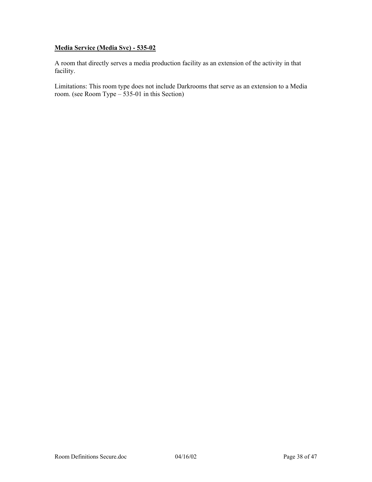# **Media Service (Media Svc) - 535-02**

A room that directly serves a media production facility as an extension of the activity in that facility.

Limitations: This room type does not include Darkrooms that serve as an extension to a Media room. (see Room Type – 535-01 in this Section)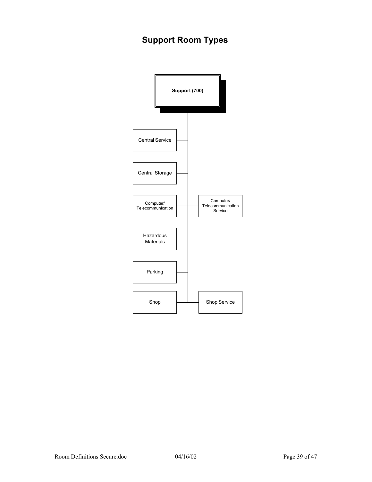# **Support Room Types**

![](_page_38_Figure_1.jpeg)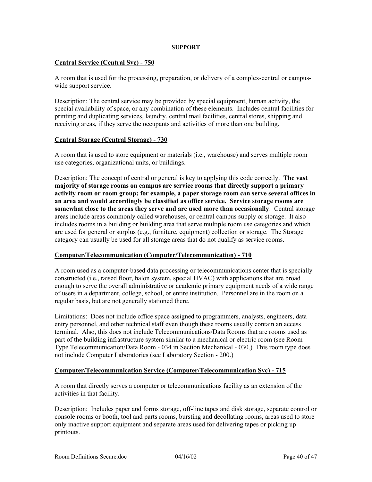#### **SUPPORT**

#### **Central Service (Central Svc) - 750**

A room that is used for the processing, preparation, or delivery of a complex-central or campuswide support service.

Description: The central service may be provided by special equipment, human activity, the special availability of space, or any combination of these elements. Includes central facilities for printing and duplicating services, laundry, central mail facilities, central stores, shipping and receiving areas, if they serve the occupants and activities of more than one building.

#### **Central Storage (Central Storage) - 730**

A room that is used to store equipment or materials (i.e., warehouse) and serves multiple room use categories, organizational units, or buildings.

Description: The concept of central or general is key to applying this code correctly. **The vast majority of storage rooms on campus are service rooms that directly support a primary activity room or room group; for example, a paper storage room can serve several offices in an area and would accordingly be classified as office service. Service storage rooms are somewhat close to the areas they serve and are used more than occasionally**. Central storage areas include areas commonly called warehouses, or central campus supply or storage. It also includes rooms in a building or building area that serve multiple room use categories and which are used for general or surplus (e.g., furniture, equipment) collection or storage. The Storage category can usually be used for all storage areas that do not qualify as service rooms.

#### **Computer/Telecommunication (Computer/Telecommunication) - 710**

A room used as a computer-based data processing or telecommunications center that is specially constructed (i.e., raised floor, halon system, special HVAC) with applications that are broad enough to serve the overall administrative or academic primary equipment needs of a wide range of users in a department, college, school, or entire institution. Personnel are in the room on a regular basis, but are not generally stationed there.

Limitations: Does not include office space assigned to programmers, analysts, engineers, data entry personnel, and other technical staff even though these rooms usually contain an access terminal. Also, this does not include Telecommunications/Data Rooms that are rooms used as part of the building infrastructure system similar to a mechanical or electric room (see Room Type Telecommunication/Data Room - 034 in Section Mechanical - 030.) This room type does not include Computer Laboratories (see Laboratory Section - 200.)

#### **Computer/Telecommunication Service (Computer/Telecommunication Svc) - 715**

A room that directly serves a computer or telecommunications facility as an extension of the activities in that facility.

Description: Includes paper and forms storage, off-line tapes and disk storage, separate control or console rooms or booth, tool and parts rooms, bursting and decollating rooms, areas used to store only inactive support equipment and separate areas used for delivering tapes or picking up printouts.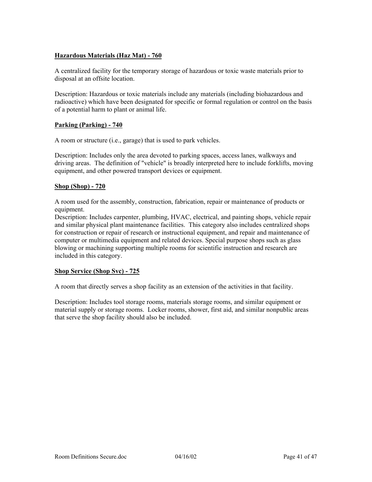# **Hazardous Materials (Haz Mat) - 760**

A centralized facility for the temporary storage of hazardous or toxic waste materials prior to disposal at an offsite location.

Description: Hazardous or toxic materials include any materials (including biohazardous and radioactive) which have been designated for specific or formal regulation or control on the basis of a potential harm to plant or animal life.

#### **Parking (Parking) - 740**

A room or structure (i.e., garage) that is used to park vehicles.

Description: Includes only the area devoted to parking spaces, access lanes, walkways and driving areas. The definition of "vehicle" is broadly interpreted here to include forklifts, moving equipment, and other powered transport devices or equipment.

#### **Shop (Shop) - 720**

A room used for the assembly, construction, fabrication, repair or maintenance of products or equipment.

Description: Includes carpenter, plumbing, HVAC, electrical, and painting shops, vehicle repair and similar physical plant maintenance facilities. This category also includes centralized shops for construction or repair of research or instructional equipment, and repair and maintenance of computer or multimedia equipment and related devices. Special purpose shops such as glass blowing or machining supporting multiple rooms for scientific instruction and research are included in this category.

#### **Shop Service (Shop Svc) - 725**

A room that directly serves a shop facility as an extension of the activities in that facility.

Description: Includes tool storage rooms, materials storage rooms, and similar equipment or material supply or storage rooms. Locker rooms, shower, first aid, and similar nonpublic areas that serve the shop facility should also be included.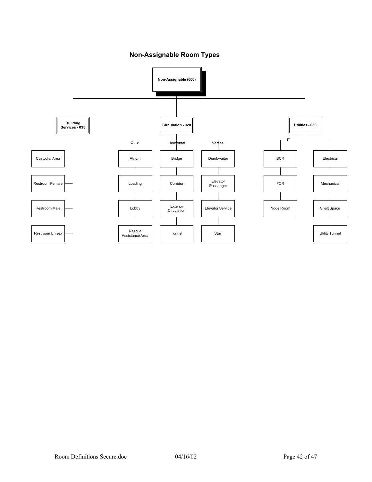**Non-Assignable Room Types**

![](_page_41_Figure_1.jpeg)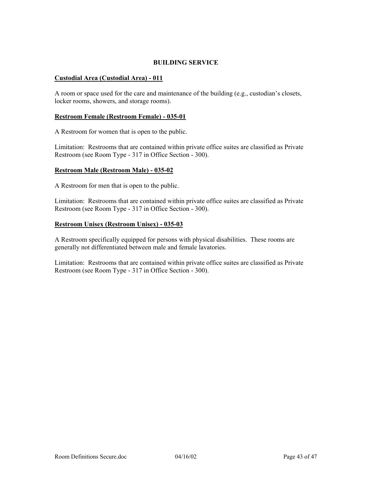# **BUILDING SERVICE**

# **Custodial Area (Custodial Area) - 011**

A room or space used for the care and maintenance of the building (e.g., custodian's closets, locker rooms, showers, and storage rooms).

#### **Restroom Female (Restroom Female) - 035-01**

A Restroom for women that is open to the public.

Limitation: Restrooms that are contained within private office suites are classified as Private Restroom (see Room Type - 317 in Office Section - 300).

#### **Restroom Male (Restroom Male) - 035-02**

A Restroom for men that is open to the public.

Limitation: Restrooms that are contained within private office suites are classified as Private Restroom (see Room Type - 317 in Office Section - 300).

#### **Restroom Unisex (Restroom Unisex) - 035-03**

A Restroom specifically equipped for persons with physical disabilities. These rooms are generally not differentiated between male and female lavatories.

Limitation: Restrooms that are contained within private office suites are classified as Private Restroom (see Room Type - 317 in Office Section - 300).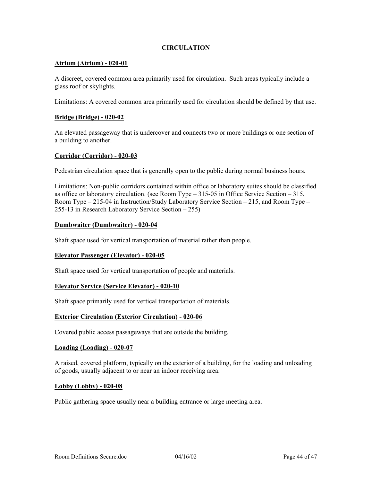# **CIRCULATION**

#### **Atrium (Atrium) - 020-01**

A discreet, covered common area primarily used for circulation. Such areas typically include a glass roof or skylights.

Limitations: A covered common area primarily used for circulation should be defined by that use.

#### **Bridge (Bridge) - 020-02**

An elevated passageway that is undercover and connects two or more buildings or one section of a building to another.

#### **Corridor (Corridor) - 020-03**

Pedestrian circulation space that is generally open to the public during normal business hours.

Limitations: Non-public corridors contained within office or laboratory suites should be classified as office or laboratory circulation. (see Room Type – 315-05 in Office Service Section – 315, Room Type – 215-04 in Instruction/Study Laboratory Service Section – 215, and Room Type – 255-13 in Research Laboratory Service Section – 255)

#### **Dumbwaiter (Dumbwaiter) - 020-04**

Shaft space used for vertical transportation of material rather than people.

#### **Elevator Passenger (Elevator) - 020-05**

Shaft space used for vertical transportation of people and materials.

#### **Elevator Service (Service Elevator) - 020-10**

Shaft space primarily used for vertical transportation of materials.

#### **Exterior Circulation (Exterior Circulation) - 020-06**

Covered public access passageways that are outside the building.

#### **Loading (Loading) - 020-07**

A raised, covered platform, typically on the exterior of a building, for the loading and unloading of goods, usually adjacent to or near an indoor receiving area.

#### **Lobby (Lobby) - 020-08**

Public gathering space usually near a building entrance or large meeting area.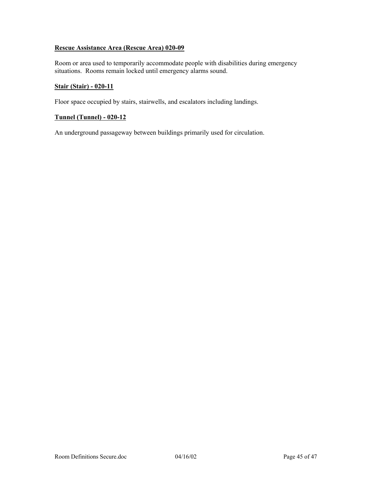# **Rescue Assistance Area (Rescue Area) 020-09**

Room or area used to temporarily accommodate people with disabilities during emergency situations. Rooms remain locked until emergency alarms sound.

#### **Stair (Stair) - 020-11**

Floor space occupied by stairs, stairwells, and escalators including landings.

# **Tunnel (Tunnel) - 020-12**

An underground passageway between buildings primarily used for circulation.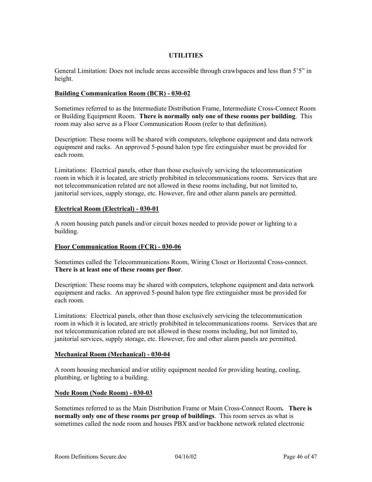# **UTILITIES**

General Limitation: Does not include areas accessible through crawlspaces and less than 5'5" in height.

#### **Building Communication Room (BCR) - 030-02**

Sometimes referred to as the Intermediate Distribution Frame, Intermediate Cross-Connect Room or Building Equipment Room. **There is normally only one of these rooms per building**. This room may also serve as a Floor Communication Room (refer to that definition).

Description: These rooms will be shared with computers, telephone equipment and data network equipment and racks. An approved 5-pound halon type fire extinguisher must be provided for each room.

Limitations: Electrical panels, other than those exclusively servicing the telecommunication room in which it is located, are strictly prohibited in telecommunications rooms. Services that are not telecommunication related are not allowed in these rooms including, but not limited to, janitorial services, supply storage, etc. However, fire and other alarm panels are permitted.

#### **Electrical Room (Electrical) - 030-01**

A room housing patch panels and/or circuit boxes needed to provide power or lighting to a building.

#### **Floor Communication Room (FCR) - 030-06**

Sometimes called the Telecommunications Room, Wiring Closet or Horizontal Cross-connect. **There is at least one of these rooms per floor**.

Description: These rooms may be shared with computers, telephone equipment and data network equipment and racks. An approved 5-pound halon type fire extinguisher must be provided for each room.

Limitations: Electrical panels, other than those exclusively servicing the telecommunication room in which it is located, are strictly prohibited in telecommunications rooms. Services that are not telecommunication related are not allowed in these rooms including, but not limited to, janitorial services, supply storage, etc. However, fire and other alarm panels are permitted.

#### **Mechanical Room (Mechanical) - 030-04**

A room housing mechanical and/or utility equipment needed for providing heating, cooling, plumbing, or lighting to a building.

#### **Node Room (Node Room) - 030-03**

Sometimes referred to as the Main Distribution Frame or Main Cross-Connect Room**. There is normally only one of these rooms per group of buildings**. This room serves as what is sometimes called the node room and houses PBX and/or backbone network related electronic